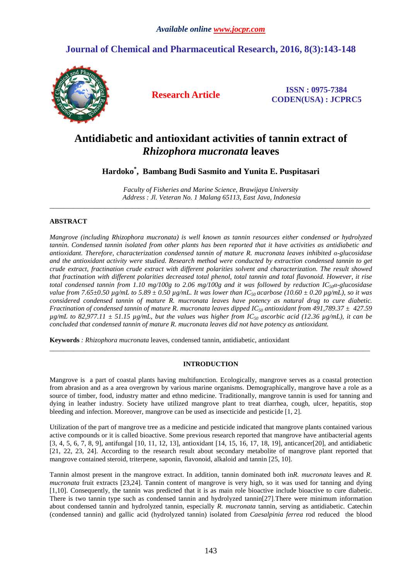# **Journal of Chemical and Pharmaceutical Research, 2016, 8(3):143-148**



**Research Article ISSN : 0975-7384 CODEN(USA) : JCPRC5**

# **Antidiabetic and antioxidant activities of tannin extract of**  *Rhizophora mucronata* **leaves**

**Hardoko\* , Bambang Budi Sasmito and Yunita E. Puspitasari**

*Faculty of Fisheries and Marine Science, Brawijaya University Address : Jl. Veteran No. 1 Malang 65113, East Java, Indonesia*  \_\_\_\_\_\_\_\_\_\_\_\_\_\_\_\_\_\_\_\_\_\_\_\_\_\_\_\_\_\_\_\_\_\_\_\_\_\_\_\_\_\_\_\_\_\_\_\_\_\_\_\_\_\_\_\_\_\_\_\_\_\_\_\_\_\_\_\_\_\_\_\_\_\_\_\_\_\_\_\_\_\_\_\_\_\_\_\_\_\_\_\_\_

# **ABSTRACT**

*Mangrove (including Rhizophora mucronata) is well known as tannin resources either condensed or hydrolyzed tannin. Condensed tannin isolated from other plants has been reported that it have activities as antidiabetic and antioxidant. Therefore, characterization condensed tannin of mature R. mucronata leaves inhibited α-glucosidase*  and the antioxidant activity were studied. Research method were conducted by extraction condensed tannin to get *crude extract, fractination crude extract with different polarities solvent and characterization. The result showed that fractination with different polarities decreased total phenol, total tannin and total flavonoid. However, it rise total condensed tannin from 1.10 mg/100g to 2.06 mg/100g and it was followed by reduction IC50α-glucosidase value from 7.65±0.50 µg/mL to 5.89 ± 0.50 µg/mL. It was lower than IC50 acarbose (10.60 ± 0.20 µg/mL), so it was considered condensed tannin of mature R. mucronata leaves have potency as natural drug to cure diabetic. Fractination of condensed tannin of mature R. mucronata leaves dipped IC50 antioxidant from 491,789.37 ± 427.59*   $\mu$ g/mL to 82,977.11  $\pm$  51.15  $\mu$ g/mL, but the values was higher from IC<sub>50</sub> ascorbic acid (12.36  $\mu$ g/mL), it can be *concluded that condensed tannin of mature R. mucronata leaves did not have potency as antioxidant.* 

**Keywords** *: Rhizophora mucronata* leaves*,* condensed tannin, antidiabetic, antioxidant

# **INTRODUCTION**

\_\_\_\_\_\_\_\_\_\_\_\_\_\_\_\_\_\_\_\_\_\_\_\_\_\_\_\_\_\_\_\_\_\_\_\_\_\_\_\_\_\_\_\_\_\_\_\_\_\_\_\_\_\_\_\_\_\_\_\_\_\_\_\_\_\_\_\_\_\_\_\_\_\_\_\_\_\_\_\_\_\_\_\_\_\_\_\_\_\_\_\_\_

Mangrove is a part of coastal plants having multifunction. Ecologically, mangrove serves as a coastal protection from abrasion and as a area overgrown by various marine organisms. Demographically, mangrove have a role as a source of timber, food, industry matter and ethno medicine. Traditionally, mangrove tannin is used for tanning and dying in leather industry. Society have utilized mangrove plant to treat diarrhea, cough, ulcer, hepatitis, stop bleeding and infection. Moreover, mangrove can be used as insecticide and pesticide [1, 2].

Utilization of the part of mangrove tree as a medicine and pesticide indicated that mangrove plants contained various active compounds or it is called bioactive. Some previous research reported that mangrove have antibacterial agents [3, 4, 5, 6, 7, 8, 9], antifungal [10, 11, 12, 13], antioxidant [14, 15, 16, 17, 18, 19], anticancer[20], and antidiabetic [21, 22, 23, 24]. According to the research result about secondary metabolite of mangrove plant reported that mangrove contained steroid, triterpene, saponin, flavonoid, alkaloid and tannin [25, 10].

Tannin almost present in the mangrove extract. In addition, tannin dominated both in*R. mucronata* leaves and *R. mucronata* fruit extracts [23,24]. Tannin content of mangrove is very high, so it was used for tanning and dying [1,10]. Consequently, the tannin was predicted that it is as main role bioactive include bioactive to cure diabetic. There is two tannin type such as condensed tannin and hydrolyzed tannin[27].There were minimum information about condensed tannin and hydrolyzed tannin, especially *R. mucronata* tannin, serving as antidiabetic. Catechin (condensed tannin) and gallic acid (hydrolyzed tannin) isolated from *Caesalpinia ferrea* rod reduced the blood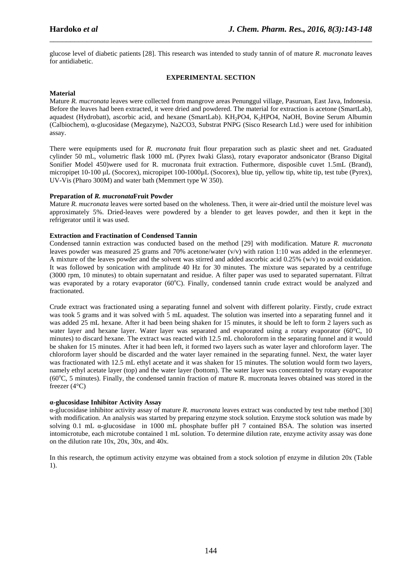glucose level of diabetic patients [28]. This research was intended to study tannin of of mature *R. mucronata* leaves for antidiabetic.

\_\_\_\_\_\_\_\_\_\_\_\_\_\_\_\_\_\_\_\_\_\_\_\_\_\_\_\_\_\_\_\_\_\_\_\_\_\_\_\_\_\_\_\_\_\_\_\_\_\_\_\_\_\_\_\_\_\_\_\_\_\_\_\_\_\_\_\_\_\_\_\_\_\_\_\_\_\_

### **EXPERIMENTAL SECTION**

### **Material**

Mature *R. mucronata* leaves were collected from mangrove areas Penunggul village, Pasuruan, East Java, Indonesia. Before the leaves had been extracted, it were dried and powdered. The material for extraction is acetone (SmartLab), aquadest (Hydrobatt), ascorbic acid, and hexane (SmartLab). KH<sub>2</sub>PO4, K<sub>2</sub>HPO4, NaOH, Bovine Serum Albumin (Calbiochem), α-glucosidase (Megazyme), Na2CO3, Substrat PNPG (Sisco Research Ltd.) were used for inhibition assay.

There were equipments used for *R. mucronata* fruit flour preparation such as plastic sheet and net. Graduated cylinder 50 mL, volumetric flask 1000 mL (Pyrex Iwaki Glass), rotary evaporator andsonicator (Branso Digital Sonifier Model 450)were used for R. mucronata fruit extraction. Futhermore, disposible cuvet 1.5mL (Brand), micropipet 10-100 µL (Socorex), micropipet 100-1000µL (Socorex), blue tip, yellow tip, white tip, test tube (Pyrex), UV-Vis (Pharo 300M) and water bath (Memmert type W 350).

#### **Preparation of** *R. mucronata***Fruit Powder**

Mature *R. mucronata* leaves were sorted based on the wholeness. Then, it were air-dried until the moisture level was approximately 5%. Dried-leaves were powdered by a blender to get leaves powder, and then it kept in the refrigerator until it was used.

# **Extraction and Fractination of Condensed Tannin**

Condensed tannin extraction was conducted based on the method [29] with modification. Mature *R. mucronata* leaves powder was measured 25 grams and 70% acetone/water (v/v) with ration 1:10 was added in the erlenmeyer. A mixture of the leaves powder and the solvent was stirred and added ascorbic acid 0.25% (w/v) to avoid oxidation. It was followed by sonication with amplitude 40 Hz for 30 minutes. The mixture was separated by a centrifuge (3000 rpm, 10 minutes) to obtain supernatant and residue. A filter paper was used to separated supernatant. Filtrat was evaporated by a rotary evaporator  $(60^{\circ}C)$ . Finally, condensed tannin crude extract would be analyzed and fractionated.

Crude extract was fractionated using a separating funnel and solvent with different polarity. Firstly, crude extract was took 5 grams and it was solved with 5 mL aquadest. The solution was inserted into a separating funnel and it was added 25 mL hexane. After it had been being shaken for 15 minutes, it should be left to form 2 layers such as water layer and hexane layer. Water layer was separated and evaporated using a rotary evaporator (60 °C, 10 minutes) to discard hexane. The extract was reacted with 12.5 mL choloroform in the separating funnel and it would be shaken for 15 minutes. After it had been left, it formed two layers such as water layer and chloroform layer. The chloroform layer should be discarded and the water layer remained in the separating funnel. Next, the water layer was fractionated with 12.5 mL ethyl acetate and it was shaken for 15 minutes. The solution would form two layers, namely ethyl acetate layer (top) and the water layer (bottom). The water layer was concentrated by rotary evaporator  $(60^{\circ}C, 5 \text{ minutes})$ . Finally, the condensed tannin fraction of mature R. mucronata leaves obtained was stored in the freezer (4°C)

#### **α-glucosidase Inhibitor Activity Assay**

α-glucosidase inhibitor activity assay of mature *R. mucronata* leaves extract was conducted by test tube method [30] with modification. An analysis was started by preparing enzyme stock solution. Enzyme stock solution was made by solving 0.1 mL α-glucosidase in 1000 mL phosphate buffer pH 7 contained BSA. The solution was inserted intomicrotube, each microtube contained 1 mL solution. To determine dilution rate, enzyme activity assay was done on the dilution rate 10x, 20x, 30x, and 40x.

In this research, the optimum activity enzyme was obtained from a stock solotion pf enzyme in dilution 20x (Table 1).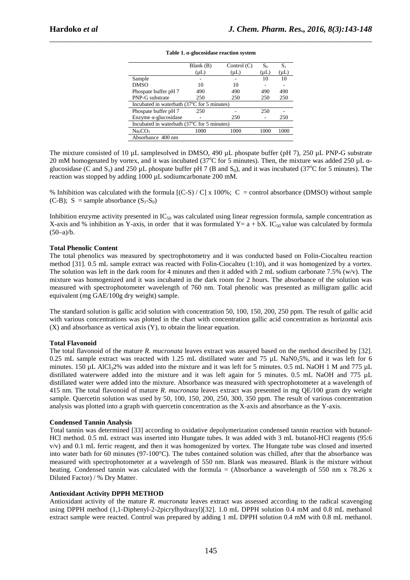|                                                          | Blank (B) | Control $(C)$ | $S_0$     | $S_1$     |
|----------------------------------------------------------|-----------|---------------|-----------|-----------|
|                                                          | $(\mu L)$ | $(\mu L)$     | $(\mu L)$ | $(\mu L)$ |
| Sample                                                   |           |               | 10        | 10        |
| <b>DMSO</b>                                              | 10        | 10            |           |           |
| Phospate buffer pH 7                                     | 490       | 490           | 490       | 490       |
| PNP-G substrate                                          | 250       | 250           | 250       | 250       |
| Incubated in waterbath (37 <sup>o</sup> C for 5 minutes) |           |               |           |           |
| Phospate buffer pH 7                                     | 250       |               | 250       |           |
| Enzyme α-glucosidase                                     |           | 250           |           | 250       |
| Incubated in waterbath (37°C for 5 minutes)              |           |               |           |           |
| Na <sub>2</sub> CO <sub>3</sub>                          | 1000      | 1000          | 1000      | 1000      |
| Absorbance 400 nm                                        |           |               |           |           |

#### **Table 1. α-glucosidase reaction system**

\_\_\_\_\_\_\_\_\_\_\_\_\_\_\_\_\_\_\_\_\_\_\_\_\_\_\_\_\_\_\_\_\_\_\_\_\_\_\_\_\_\_\_\_\_\_\_\_\_\_\_\_\_\_\_\_\_\_\_\_\_\_\_\_\_\_\_\_\_\_\_\_\_\_\_\_\_\_

The mixture consisted of 10 uL samplesolved in DMSO, 490 uL phospate buffer (pH 7), 250 uL PNP-G substrate 20 mM homogenated by vortex, and it was incubated (37<sup>o</sup>C for 5 minutes). Then, the mixture was added 250  $\mu$ L  $\alpha$ glucosidase (C and  $S_1$ ) and 250 µL phospate buffer pH 7 (B and  $S_0$ ), and it was incubated (37°C for 5 minutes). The reaction was stopped by adding 1000 µL sodiumcarbonate 200 mM.

% Inhibition was calculated with the formula  $[(C-S) / C] \times 100\%$ ; C = control absorbance (DMSO) without sample (C-B);  $S =$  sample absorbance  $(S_1-S_0)$ 

Inhibition enzyme activity presented in  $IC_{50}$  was calculated using linear regression formula, sample concentration as X-axis and % inhibition as Y-axis, in order that it was formulated Y=  $a + bX$ . IC<sub>50</sub> value was calculated by formula  $(50-a)/b.$ 

#### **Total Phenolic Content**

The total phenolics was measured by spectrophotometry and it was conducted based on Folin-Ciocalteu reaction method [31]. 0.5 mL sample extract was reacted with Folin-Ciocalteu (1:10), and it was homogenized by a vortex. The solution was left in the dark room for 4 minutes and then it added with 2 mL sodium carbonate 7.5% (w/v). The mixture was homogenized and it was incubated in the dark room for 2 hours. The absorbance of the solution was measured with spectrophotometer wavelength of 760 nm. Total phenolic was presented as milligram gallic acid equivalent (mg GAE/100g dry weight) sample.

The standard solution is gallic acid solution with concentration 50, 100, 150, 200, 250 ppm. The result of gallic acid with various concentrations was plotted in the chart with concentration gallic acid concentration as horizontal axis (X) and absorbance as vertical axis (Y), to obtain the linear equation.

# **Total Flavonoid**

The total flavonoid of the mature *R. mucronata* leaves extract was assayed based on the method described by [32]. 0.25 mL sample extract was reacted with 1.25 mL distillated water and 75 µL NaN0.5%, and it was left for 6 minutes. 150 µL AlCl<sub>3</sub>2% was added into the mixture and it was left for 5 minutes. 0.5 mL NaOH 1 M and 775 µL distillated waterwere added into the mixture and it was left again for 5 minutes. 0.5 mL NaOH and 775 µL distillated water were added into the mixture. Absorbance was measured with spectrophotometer at a wavelength of 415 nm. The total flavonoid of mature *R. mucronata* leaves extract was presented in mg QE/100 gram dry weight sample. Quercetin solution was used by 50, 100, 150, 200, 250, 300, 350 ppm. The result of various concentration analysis was plotted into a graph with quercetin concentration as the X-axis and absorbance as the Y-axis.

#### **Condensed Tannin Analysis**

Total tannin was determined [33] according to oxidative depolymerization condensed tannin reaction with butanol-HCl method. 0.5 mL extract was inserted into Hungate tubes. It was added with 3 mL butanol-HCl reagents (95:6 v/v) and 0.1 mL ferric reagent, and then it was homogenized by vortex. The Hungate tube was closed and inserted into water bath for 60 minutes (97-100°C). The tubes contained solution was chilled, after that the absorbance was measured with spectrophotometer at a wavelength of 550 nm. Blank was measured. Blank is the mixture without heating. Condensed tannin was calculated with the formula = (Absorbance a wavelength of 550 nm x 78.26 x Diluted Factor) / % Dry Matter.

#### **Antioxidant Activity DPPH METHOD**

Antioxidant activity of the mature *R. mucronata* leaves extract was assessed according to the radical scavenging using DPPH method (1,1-Diphenyl-2-2picrylhydrazyl)[32]. 1.0 mL DPPH solution 0.4 mM and 0.8 mL methanol extract sample were reacted. Control was prepared by adding 1 mL DPPH solution 0.4 mM with 0.8 mL methanol.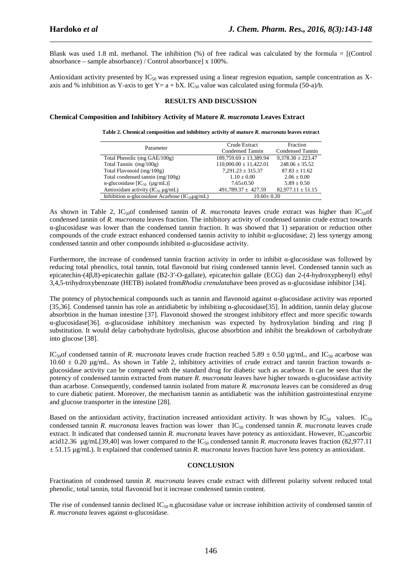Blank was used 1.8 mL methanol. The inhibition (%) of free radical was calculated by the formula = [(Control absorbance – sample absorbance) / Control absorbance] x 100%.

\_\_\_\_\_\_\_\_\_\_\_\_\_\_\_\_\_\_\_\_\_\_\_\_\_\_\_\_\_\_\_\_\_\_\_\_\_\_\_\_\_\_\_\_\_\_\_\_\_\_\_\_\_\_\_\_\_\_\_\_\_\_\_\_\_\_\_\_\_\_\_\_\_\_\_\_\_\_

Antioxidant activity presented by  $IC_{50}$  was expressed using a linear regresion equation, sample concentration as Xaxis and % inhibition as Y-axis to get Y=  $a + bX$ . IC<sub>50</sub> value was calculated using formula (50-a)/b.

### **RESULTS AND DISCUSSION**

#### **Chemical Composition and Inhibitory Activity of Mature** *R. mucronata* **Leaves Extract**

**Table 2. Chemical composition and inhibitory activity of mature** *R. mucronata* **leaves extract** 

| Parameter                                                          | Crude Extract              | Fraction              |  |
|--------------------------------------------------------------------|----------------------------|-----------------------|--|
|                                                                    | Condensed Tannin           | Condensed Tannin      |  |
| Total Phenolic (mg GAE/100g)                                       | $189,759.69 \pm 13,389.94$ | $9.378.30 \pm 223.47$ |  |
| Total Tannin $(mg/100g)$                                           | $110,000.00 \pm 11,422.01$ | $248.06 \pm 35.52$    |  |
| Total Flavonoid (mg/100g)                                          | $7.291.23 \pm 315.37$      | $87.83 \pm 11.62$     |  |
| Total condensed tannin (mg/100g)                                   | $1.10 \pm 0.00$            | $2.06 + 0.00$         |  |
| $\alpha$ -glucosidase [IC <sub>50</sub> (µg/mL)]                   | $7.65 \pm 0.50$            | $5.89 + 0.50$         |  |
| Antioxidant activity ( $IC_{50} \mu g/mL$ )                        | $491,789.37 \pm 427.59$    | $82.977.11 \pm 51.15$ |  |
| Inhibition $\alpha$ -glucosidase Acarbose (IC <sub>50</sub> µg/mL) | $10.60 \pm 0.20$           |                       |  |

As shown in Table 2,  $IC_{50}$  condensed tannin of *R. mucronata* leaves crude extract was higher than  $IC_{50}$ condensed tannin of *R. mucronata* leaves fraction. The inhibitory activity of condensed tannin crude extract towards α-glucosidase was lower than the condensed tannin fraction. It was showed that 1) separation or reduction other compounds of the crude extract enhanced condensed tannin activity to inhibit α-glucosidase; 2) less synergy among condensed tannin and other compounds inhibited α-glucosidase activity.

Furthermore, the increase of condensed tannin fraction activity in order to inhibit α-glucosidase was followed by reducing total phenolics, total tannin, total flavonoid but rising condensed tannin level. Condensed tannin such as epicatechin-(4β,8)-epicatechin gallate (B2-3′-O-gallate), epicatechin gallate (ECG) dan 2-(4-hydroxyphenyl) ethyl 3,4,5-trihydroxybenzoate (HETB) isolated from*Rhodia crenulata*have been proved as α-glucosidase inhibitor [34].

The potency of phytochemical compounds such as tannin and flavonoid against α-glucosidase activity was reported [35,36]. Condensed tannin has role as antidiabetic by inhibiting α-glucosidase[35]. In addition, tannin delay glucose absorbtion in the human intestine [37]. Flavonoid showed the strongest inhibitory effect and more specific towards α-glucosidase[36]. α-glucosidase inhibitory mechanism was expected by hydroxylation binding and ring β substitution. It would delay carbohydrate hydrolisis, glucose absorbtion and inhibit the breakdown of carbohydrate into glucose [38].

IC<sub>50</sub>of condensed tannin of *R. mucronata* leaves crude fraction reached 5.89  $\pm$  0.50 µg/mL, and IC<sub>50</sub> acarbose was 10.60  $\pm$  0.20 μg/mL. As shown in Table 2, inhibitory activities of crude extract and tannin fraction towards αglucosidase activity can be compared with the standard drug for diabetic such as acarbose. It can be seen that the potency of condensed tannin extracted from mature *R. mucronata* leaves have higher towards α-glucosidase activity than acarbose. Consequently, condensed tannin isolated from mature *R. mucronata* leaves can be considered as drug to cure diabetic patient. Moreover, the mechanism tannin as antidiabetic was the inhibition gastrointestinal enzyme and glucose transporter in the intestine [28].

Based on the antioxidant activity, fractination increased antioxidant activity. It was shown by  $IC_{50}$  values.  $IC_{50}$ condensed tannin *R. mucronata* leaves fraction was lower than IC<sub>50</sub> condensed tannin *R. mucronata* leaves crude extract. It indicated that condensed tannin *R. mucronata* leaves have potency as antioxidant. However, IC<sub>50</sub>ascorbic acid12.36 µg/mL[39,40] was lower compared to the IC50 condensed tannin *R. mucronata* leaves fraction (82,977.11 ± 51.15 µg/mL). It explained that condensed tannin *R. mucronata* leaves fraction have less potency as antioxidant.

#### **CONCLUSION**

Fractination of condensed tannin *R. mucronata* leaves crude extract with different polarity solvent reduced total phenolic, total tannin, total flavonoid but it increase condensed tannin content.

The rise of condensed tannin declined IC<sub>50</sub>  $\alpha$  glucosidase value or increase inhibition activity of condensed tannin of *R. mucronata* leaves against α-glucosidase.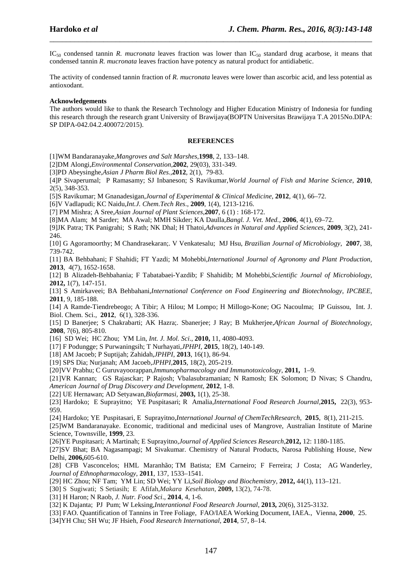IC50 condensed tannin *R. mucronata* leaves fraction was lower than IC50 standard drug acarbose, it means that condensed tannin *R. mucronata* leaves fraction have potency as natural product for antidiabetic.

\_\_\_\_\_\_\_\_\_\_\_\_\_\_\_\_\_\_\_\_\_\_\_\_\_\_\_\_\_\_\_\_\_\_\_\_\_\_\_\_\_\_\_\_\_\_\_\_\_\_\_\_\_\_\_\_\_\_\_\_\_\_\_\_\_\_\_\_\_\_\_\_\_\_\_\_\_\_

The activity of condensed tannin fraction of *R. mucronata* leaves were lower than ascorbic acid, and less potential as antioxodant.

### **Acknowledgements**

The authors would like to thank the Research Technology and Higher Education Ministry of Indonesia for funding this research through the research grant University of Brawijaya(BOPTN Universitas Brawijaya T.A 2015No.DIPA: SP DIPA-042.04.2.400072/2015).

#### **REFERENCES**

[1]WM Bandaranayake,*Mangroves and Salt Marshes,***1998**, 2, 133–148.

[2]DM Alongi,*Environmental Conservation*,**2002**, 29(03), 331-349.

[3]PD Abeysinghe,*Asian J Pharm Biol Res.,***2012**, 2(1), 79-83.

[4]P Sivaperumal; P Ramasamy; SJ Inbaneson; S Ravikumar,*World Journal of Fish and Marine Science*, **2010**, 2(5), 348-353.

[5]S Ravikumar; M Gnanadesigan,*Journal of Experimental & Clinical Medicine*, **2012**, 4(1), 66–72.

[6]V Vadlapudi; KC Naidu,*Int.J. Chem.Tech Res*., **2009**, 1(4), 1213-1216.

[7] PM Mishra; A Sree,*Asian Journal of Plant Sciences*,**2007**, 6 (1) : 168-172.

[8]MA Alam; M Sarder; MA Awal; MMH Sikder; KA Daulla,*Bangl. J. Vet. Med.,* **2006**, 4(1), 69–72.

[9]JK Patra; TK Panigrahi; S Rath; NK Dhal; H Thatoi,*Advances in Natural and Applied Sciences*, **2009**, 3(2), 241- 246.

[10] G Agoramoorthy; M Chandrasekaran;. V Venkatesalu; MJ Hsu, *Brazilian Journal of Microbiology*, **2007**, 38, 739-742.

[11] BA Behbahani; F Shahidi; FT Yazdi; M Mohebbi,*International Journal of Agronomy and Plant Production*, **2013**, 4(7), 1652-1658.

[12] B Alizadeh-Behbahania; F Tabatabaei-Yazdib; F Shahidib; M Mohebbi,*Scientific Journal of Microbiology*, **2012,** 1(7), 147-151.

[13] S Amirkaveei; BA Behbahani,*International Conference on Food Engineering and Biotechnology*, *IPCBEE,*  **2011**, 9, 185-188.

[14] A Ramde-Tiendrebeogo; A Tibir; A Hilou; M Lompo; H Millogo-Kone; OG Nacoulma; IP Guissou, Int. J. Biol. Chem. Sci., **2012**, 6(1), 328-336.

[15] D Banerjee; S Chakrabarti; AK Hazra;. Sbanerjee; J Ray; B Mukherjee,*African Journal of Biotechnology*, **2008**, 7(6), 805-810.

[16] SD Wei; HC Zhou; YM Lin, *Int. J. Mol. Sci*., **2010,** 11, 4080-4093.

[17] F Podungge; S Purwaningsih; T Nurhayati,*JPHPI*, **2015**, 18(2), 140-149.

[18] AM Jacoeb; P Suptijah; Zahidah,*JPHPI*, **2013**, 16(1), 86-94.

[19] SPS Dia; Nurjanah; AM Jacoeb,*JPHPI,***2015**, 18(2), 205-219.

[20]VV Prabhu; C Guruvayoorappan,*Immunopharmacology and Immunotoxicology*, **2011,** 1–9.

[21]VR Kannan; GS Rajasckar; P Rajosh; Vbalasubramanian; N Ramosh; EK Solomon; D Nivas; S Chandru, *American Journal of Drug Discovery and Development*, **2012**, 1-8.

[22] UE Hernawan; AD Setyawan,*Biofarmasi,* **2003,** 1(1), 25-38.

[23] Hardoko; E Suprayitno; YE Puspitasari; R Amalia,*International Food Research Journal,***2015,** 22(3), 953- 959.

[24] Hardoko; YE Puspitasari, E Suprayitno,*International Journal of ChemTechResearch*, **2015**, 8(1), 211-215.

[25]WM Bandaranayake. Economic, traditional and medicinal uses of Mangrove, Australian Institute of Marine Science, Townsville, **1999**, 23.

[26]YE Puspitasari; A Martinah; E Suprayitno,*Journal of Applied Sciences Research*,**2012,** 12: 1180-1185.

[27]SV Bhat; BA Nagasampagi; M Sivakumar. Chemistry of Natural Products, Narosa Publishing House, New Delhi, **2006,**605-610.

[28] CFB Vasconcelos; HML Maranhão; TM Batista; EM Carneiro; F Ferreira; J Costa; AG Wanderley, *Journal of Ethnopharmacology*, **2011***,* 137, 1533–1541.

[29] HC Zhou; NF Tam; YM Lin; SD Wei; YY Li,*Soil Biology and Biochemistry*, **2012,** 44(1), 113–121.

[30] S Sugiwati; S Setiasih; E Afifah,*Makara Kesehatan*, **2009,** 13(2), 74-78.

[31] H Haron; N Raob, *J. Nutr. Food Sci*., **2014**, 4, 1-6.

[32] K Dajanta; PJ Pum; W Leksing,*Interantional Food Research Journal*, **2013,** 20(6), 3125-3132.

- [33] FAO. Quantification of Tannins in Tree Foliage, FAO/IAEA Working Document, IAEA., Vienna, **2000**, 25.
- [34]YH Chu; SH Wu; JF Hsieh, *Food Research International*, **2014**, 57, 8–14.